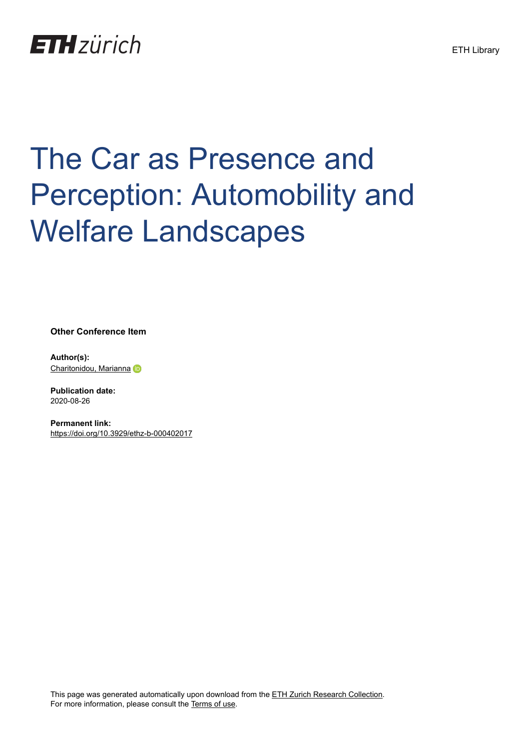

## The Car as Presence and Perception: Automobility and Welfare Landscapes

**Other Conference Item**

**Author(s):** [Charitonidou, Marianna](https://orcid.org/0000-0003-1083-4861)

**Publication date:** 2020-08-26

**Permanent link:** <https://doi.org/10.3929/ethz-b-000402017>